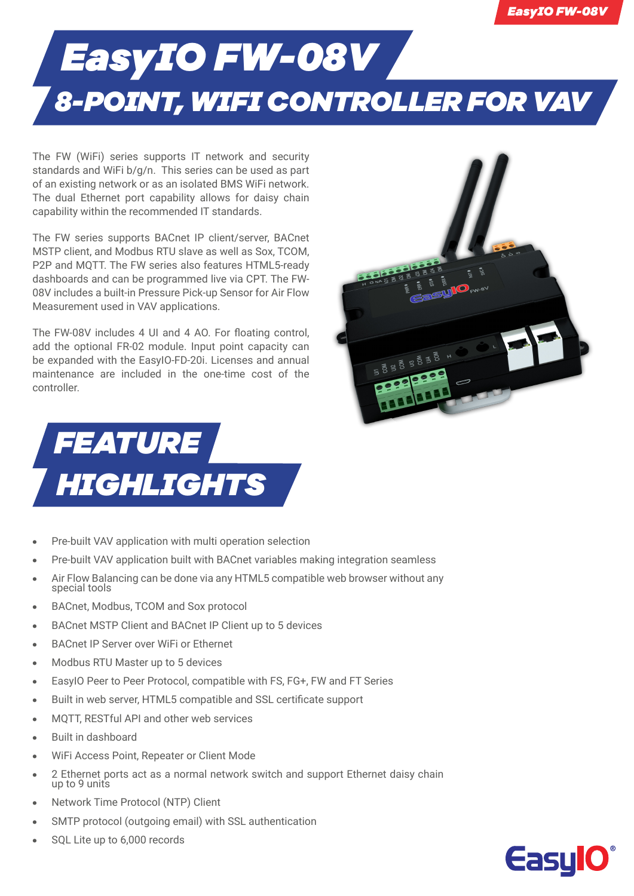## *EasyIO FW-08V 8-POINT, WIFI CONTROLLER FOR VAV*

The FW (WiFi) series supports IT network and security standards and WiFi b/g/n. This series can be used as part of an existing network or as an isolated BMS WiFi network. The dual Ethernet port capability allows for daisy chain capability within the recommended IT standards.

The FW series supports BACnet IP client/server, BACnet MSTP client, and Modbus RTU slave as well as Sox, TCOM, P2P and MQTT. The FW series also features HTML5-ready dashboards and can be programmed live via CPT. The FW-08V includes a built-in Pressure Pick-up Sensor for Air Flow Measurement used in VAV applications.

The FW-08V includes 4 UI and 4 AO. For floating control, add the optional FR-02 module. Input point capacity can be expanded with the EasyIO-FD-20i. Licenses and annual maintenance are included in the one-time cost of the controller.





- **•** Pre-built VAV application with multi operation selection
- **•** Pre-built VAV application built with BACnet variables making integration seamless
- **•** Air Flow Balancing can be done via any HTML5 compatible web browser without any special tools
- **•** BACnet, Modbus, TCOM and Sox protocol
- **•** BACnet MSTP Client and BACnet IP Client up to 5 devices
- **•** BACnet IP Server over WiFi or Ethernet
- **•** Modbus RTU Master up to 5 devices
- **•** EasyIO Peer to Peer Protocol, compatible with FS, FG+, FW and FT Series
- **•** Built in web server, HTML5 compatible and SSL certificate support
- **•** MQTT, RESTful API and other web services
- **•** Built in dashboard
- **•** WiFi Access Point, Repeater or Client Mode
- **•** 2 Ethernet ports act as a normal network switch and support Ethernet daisy chain up to 9 units
- **•** Network Time Protocol (NTP) Client
- **•** SMTP protocol (outgoing email) with SSL authentication
- **•** SQL Lite up to 6,000 records